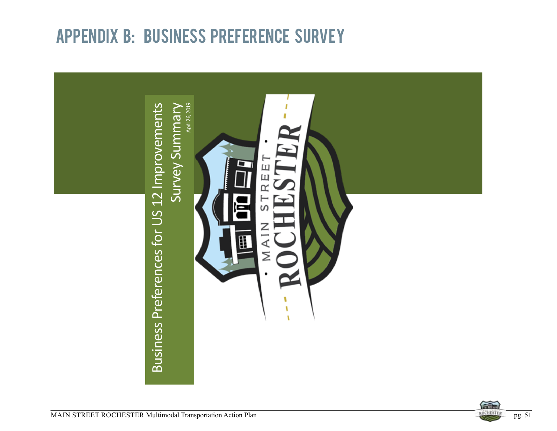## APPENDIX B: BUSINESS PREFERENCE SURVEY



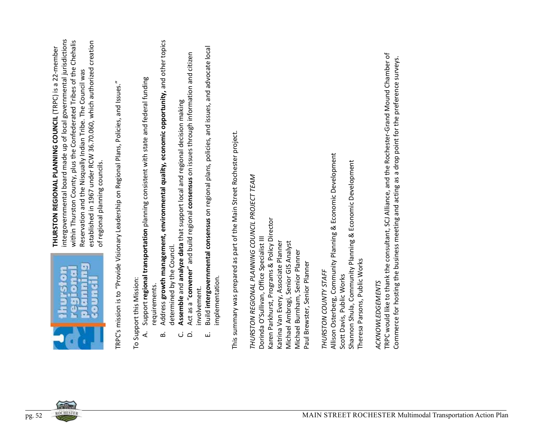

- 
- 
- 
- 
- 

2. **However, and the state of the state of the state of the state of the state of the state of the state of the state of the state of the state of the state of the state of the state of the state of the state of the sta**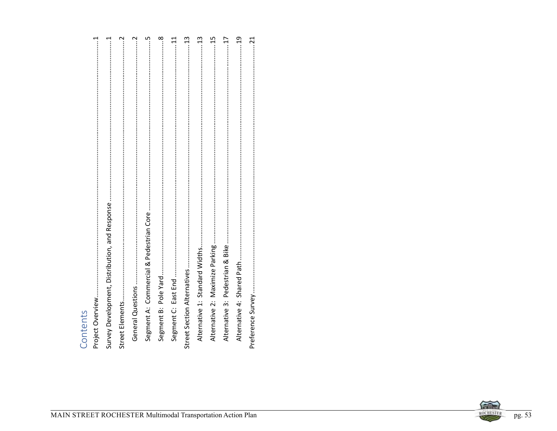# Contents<br>
<sub>n-1</sub>



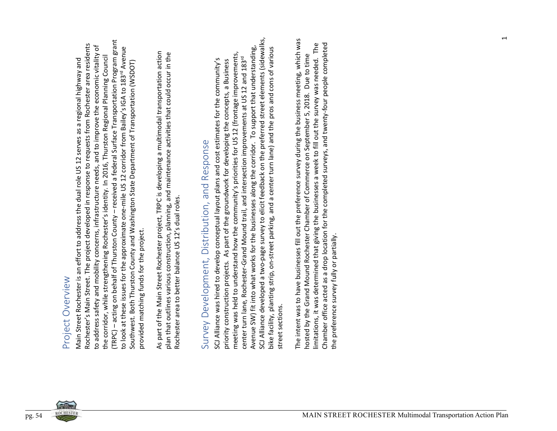$F \cup \langle \nabla \psi \rangle \langle \nabla \psi \rangle$  (i.e. the state of the state of the state of the state of the state of the state of the state of the state of the state of the state of the state of the state of the state of the state of the sta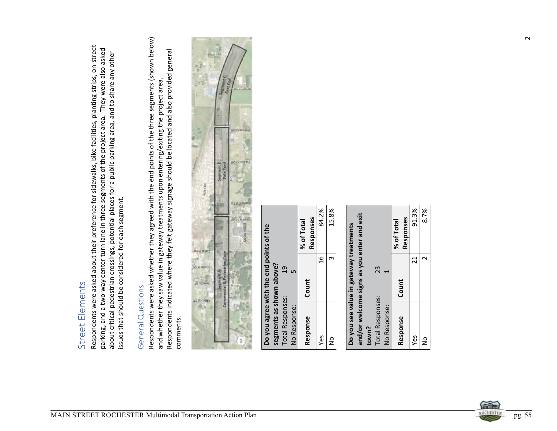

|                                         |                          |                         |              | % of Total | Responses | 84.2%         | 15,8% |
|-----------------------------------------|--------------------------|-------------------------|--------------|------------|-----------|---------------|-------|
|                                         |                          | $\overline{c}$          | ما           | Count      |           | $\frac{6}{1}$ |       |
| Do you agree with the end points of the | segments as shown above? | <b>Total Responses:</b> | No Response: |            | Response  | Yes           | ž     |

|                         | and/or welcome signs as you enter and exit |            |
|-------------------------|--------------------------------------------|------------|
| town?                   |                                            |            |
| <b>Total Responses:</b> | 23                                         |            |
| No Response:            |                                            |            |
|                         |                                            | % of Total |
| Response                | Count                                      | Responses  |
| Yes                     | 21                                         | 91.3%      |
| å                       |                                            | 8.7%       |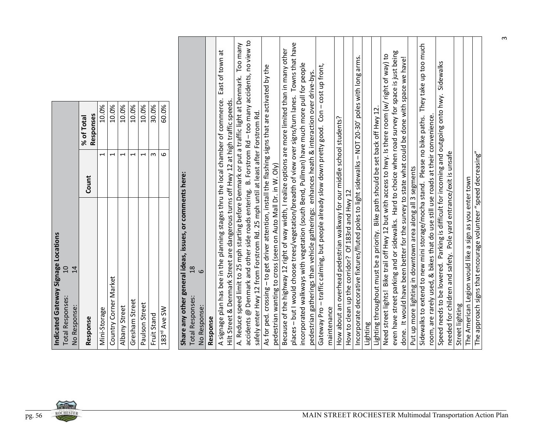|                                                                                            | Responses<br>% of Total | 10.0%                    | 10.0%                    | 10.0%                    | 10.0%                    | 10.0%                    | 30.0%       | 60.0%            |                                                                                                       |                                     |                                                                                   |                                                                                     |                                                                                                     |                                                                                                                                                                                      |                                                                                                      |                                                               |                                                                                                     |                                                                                                                                                                                                   |                                                                                             |                                                                                               |                                                                                         |                                                   |                                                                                                    |          |                                                                                                                                                                                          |                                                                                                    |                                                                                                |                                                            | They take up too much                                                      |                                                                                  |                                                                                                                                  |                 |                                                         |                                                                |
|--------------------------------------------------------------------------------------------|-------------------------|--------------------------|--------------------------|--------------------------|--------------------------|--------------------------|-------------|------------------|-------------------------------------------------------------------------------------------------------|-------------------------------------|-----------------------------------------------------------------------------------|-------------------------------------------------------------------------------------|-----------------------------------------------------------------------------------------------------|--------------------------------------------------------------------------------------------------------------------------------------------------------------------------------------|------------------------------------------------------------------------------------------------------|---------------------------------------------------------------|-----------------------------------------------------------------------------------------------------|---------------------------------------------------------------------------------------------------------------------------------------------------------------------------------------------------|---------------------------------------------------------------------------------------------|-----------------------------------------------------------------------------------------------|-----------------------------------------------------------------------------------------|---------------------------------------------------|----------------------------------------------------------------------------------------------------|----------|------------------------------------------------------------------------------------------------------------------------------------------------------------------------------------------|----------------------------------------------------------------------------------------------------|------------------------------------------------------------------------------------------------|------------------------------------------------------------|----------------------------------------------------------------------------|----------------------------------------------------------------------------------|----------------------------------------------------------------------------------------------------------------------------------|-----------------|---------------------------------------------------------|----------------------------------------------------------------|
|                                                                                            | Count                   | $\overline{\phantom{0}}$ | $\overline{\phantom{0}}$ | $\overline{\phantom{0}}$ | $\overline{\phantom{0}}$ | $\overline{\phantom{0}}$ | $\omega$    | $\mathbf \omega$ |                                                                                                       |                                     |                                                                                   |                                                                                     |                                                                                                     |                                                                                                                                                                                      |                                                                                                      |                                                               |                                                                                                     |                                                                                                                                                                                                   |                                                                                             |                                                                                               |                                                                                         |                                                   |                                                                                                    |          |                                                                                                                                                                                          |                                                                                                    |                                                                                                |                                                            |                                                                            |                                                                                  | Pole yard entrance/exit is unsafe                                                                                                |                 |                                                         |                                                                |
| Indicated Gateway Signage Locations<br>10<br>14<br><b>Total Responses:</b><br>No Response: | Response                | Mini-Storage             | Country Corner Market    | Albany Street            | Gresham Street           | Paulson Street           | Fruit Stand | 183rd Ave SW     | Share any other general ideas, issues, or comments here:<br>$\frac{8}{18}$<br><b>Total Responses:</b> | $\circ$<br>No Response:<br>Response | A signage plan has bee in the planning stages thru the local chamber of commerce. | Hilt Street & Denmark Street are dangerous turns off Hwy 12 at high traffic speeds. | A. Reduce speed limit to 25 mph starting before Denmark or put a traffic light at Denmark. Too many | accidents @ Denmark and other side roads entering. B. Forstrom Rd - too many accidents, no view to<br>safely enter Hwy 12 from Forstrom Rd. 25 mph until at least after Forstrom Rd. | As for ped. crossing - to get driver attention, install the flashing signs that are activated by the | pedestrian wanting to cross (seen on Auto Mall Dr. in W. Oly) | Because of the highway 12 right of way width, I realize options are more limited than in many other | places - but I would choose trees/vegetation/breadth of view over signs/turn lanes. Towns that have<br>incorporated walkways with vegetation (south Bend, Pullman) have much more pull for people | pedestrian gatherings than vehicle gatherings: enhances heath & interaction over drive-bys. | Gateway Pro - traffic calming, but people already slow down pretty good. Con - cost up front, | How about an overhead pedestrian walkway for our middle school students?<br>maintenance | How to clean up the corridor? Of 183rd and Hwy 12 | Incorporate decorative fixtures/fluted poles to light sidewalks - NOT 20-30' poles with long arms. | Lighting | Need street lights! Bike trail off Hwy 12 but with access to hwy. Is there room (w/ right of way) to<br>Lighting throughout must be a priority. Bike path should be set back off Hwy 12. | even have street parking and or sidewalks. Hard to choice when road survey for space is just being | done. It would have been better for the survey to state what could be done with space we have! | Put up more lighting in downtown area along all 3 segments | Sidewalks to extend to new mini storage/mocha stand. Please no bike paths. | room, are rarely used, & bikes that do use still use roads at their convenience. | Speed needs to be lowered. Parking is difficult for incoming and outgoing onto hwy. Sidewalks<br>needed for children and safety. | Street lighting | The American Legion would like a sign as you enter town | The approach signs that encourage volunteer "speed decreasing" |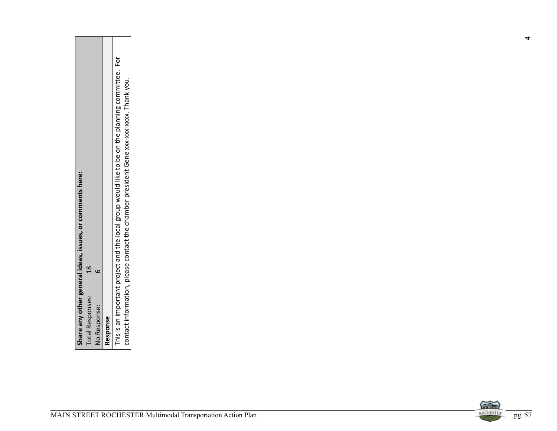| Share any other general ideas, issues, or comments here:<br>$28\,$<br>$\circ$ | This is an important project and the local group would like to be on the planning committee. For<br>contact information, please contact the chamber president Gene xxx-xxx-xxxx. Thank you. |  |
|-------------------------------------------------------------------------------|---------------------------------------------------------------------------------------------------------------------------------------------------------------------------------------------|--|
| <b>Total Responses:</b><br>No Response:                                       | Response                                                                                                                                                                                    |  |

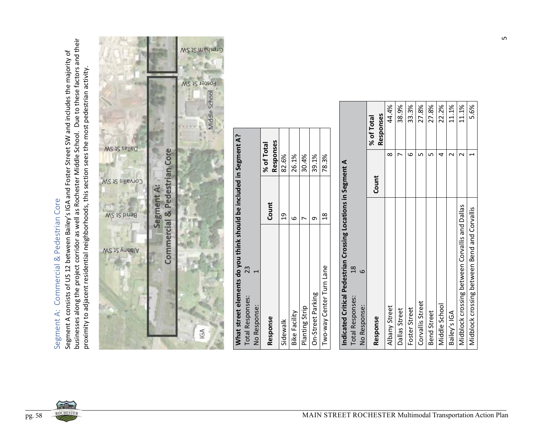

| What street elements do you think should be included in Segment A? |       |            |
|--------------------------------------------------------------------|-------|------------|
| 23<br><b>Total Responses:</b>                                      |       |            |
| No Response:                                                       |       |            |
|                                                                    |       | % of Total |
| Response                                                           | Count | Responses  |
| Sidewalk                                                           | g     | 82.6%      |
| <b>Bike Facility</b>                                               |       | 26.1%      |
| Planting Strip                                                     |       | 30.4%      |
| On-Street Parking                                                  |       | 39.1%      |
| Two-way Center Turn Lane                                           |       | 78.3%      |

| Indicated Critical Pedestrian Crossing Locations in Segment A |          |            |
|---------------------------------------------------------------|----------|------------|
| $\frac{8}{1}$<br><b>Total Responses:</b>                      |          |            |
| No Response:                                                  |          |            |
|                                                               |          | % of Total |
| Response                                                      | Count    | Responses  |
| Albany Street                                                 | $\infty$ | 44.4%      |
| Dallas Street                                                 |          | 38.9%      |
| Foster Street                                                 | م        | 33.3%      |
| Corvallis Street                                              |          | 27.8%      |
| <b>Bend Street</b>                                            |          | 27.8%      |
| Middle School                                                 |          | 22.2%      |
| Bailey's IGA                                                  |          | 11.1%      |
| Midblock crossing between Corvallis and Dallas                |          | 11.1%      |
| Midblock crossing between Bend and Corvallis                  |          | 5.6%       |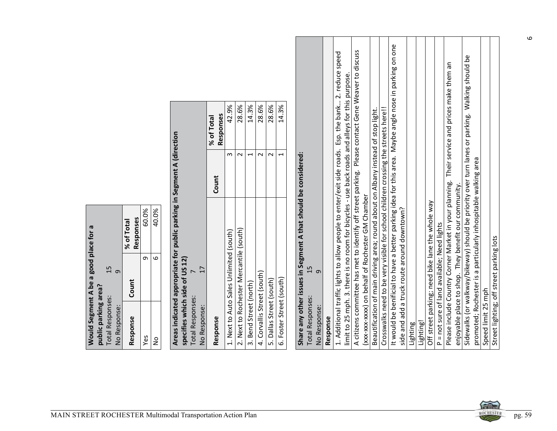|                         | Would Segment A be a good place for a |            |
|-------------------------|---------------------------------------|------------|
| public parking area?    |                                       |            |
| <b>Total Responses:</b> | 15                                    |            |
| No Response:            | o                                     |            |
|                         |                                       | % of Total |
| Response                | Count                                 | Responses  |
| Yes                     | σ                                     | 60.09      |
| 2<br>S                  | .<br>م                                | 40.0%      |

|                                       |                                         |                         |       |       |                                                                        |                                                           |              | Responses<br>% of Total | 42.9%                                   | 28.6%                                   | 14.3%                    | 28.6%                       | 28.6%                    | 14.3%                    |                                                                |                         |              |          |                                                                                                      |                                                                                                                                                                                                      |                                                  |                                                                                   |                                                                                    |                                                                                                        |                                             |          |           |                                                  |                                             | Their service and prices make them an                  |                                                      | Walking should be                                                             |                    |                                          |
|---------------------------------------|-----------------------------------------|-------------------------|-------|-------|------------------------------------------------------------------------|-----------------------------------------------------------|--------------|-------------------------|-----------------------------------------|-----------------------------------------|--------------------------|-----------------------------|--------------------------|--------------------------|----------------------------------------------------------------|-------------------------|--------------|----------|------------------------------------------------------------------------------------------------------|------------------------------------------------------------------------------------------------------------------------------------------------------------------------------------------------------|--------------------------------------------------|-----------------------------------------------------------------------------------|------------------------------------------------------------------------------------|--------------------------------------------------------------------------------------------------------|---------------------------------------------|----------|-----------|--------------------------------------------------|---------------------------------------------|--------------------------------------------------------|------------------------------------------------------|-------------------------------------------------------------------------------|--------------------|------------------------------------------|
|                                       |                                         |                         |       |       | Areas indicated appropriate for public parking in Segment A (direction |                                                           |              | Count                   | w                                       | $\sim$                                  | $\overline{\phantom{0}}$ | $\sim$                      | $\sim$                   | $\overline{\phantom{0}}$ |                                                                |                         |              |          | 1. Additional traffic lights to allow people to enter/exit side roads. Esp. the bank 2. reduce speed | A citizens committee has met to identify off street parking. Please contact Gene Weaver to discuss<br>limit to 25 mph. 3. there is no room for bicycles - use back roads and alleys for this purpose |                                                  | Beautification of main driving area; round about on Albany instead of stop light. | Crosswalks need to be very visible for school children crossing the streets here!! | It would be benificial to have a better parking idea for this area. Maybe angle nose in parking on one |                                             |          |           |                                                  |                                             |                                                        |                                                      | Sidewalks (or walkway/bikeway) should be priority over turn lanes or parking. |                    |                                          |
|                                       |                                         | Responses<br>% of Total | 60.0% | 40.0% |                                                                        |                                                           |              |                         |                                         |                                         |                          |                             |                          |                          | Share any other issues in Segment A that should be considered: |                         |              |          |                                                                                                      |                                                                                                                                                                                                      | (xxx-xxx-xxxx) on behalf of Rochester GM Chamber |                                                                                   |                                                                                    |                                                                                                        |                                             |          |           | Off street parking; need bike lane the whole way |                                             | Please include Country Corner Market in your planning. | enjoyable place to shop. They benefit our community. | promoted; Rochester is a particularly inhospitable walking area               |                    |                                          |
| Would Segment A be a good place for a | $15$ 9                                  | Count                   | თ.    | ဖ     |                                                                        |                                                           | 17           |                         | 1. Next to Auto Sales Unlimited (south) | 2. Next to Rochester Mercantile (south) |                          |                             |                          |                          |                                                                | 15                      | G            |          |                                                                                                      |                                                                                                                                                                                                      |                                                  |                                                                                   |                                                                                    |                                                                                                        | side and add a truck route around downtown? |          |           |                                                  | P = not sure of land available; Need lights |                                                        |                                                      |                                                                               |                    | Street lighting; off street parking lots |
| public parking area?                  | <b>Total Responses:</b><br>No Response: | Response                | Yes   | ş     |                                                                        | specifies which side of US 12)<br><b>Total Responses:</b> | No Response: | Response                |                                         |                                         | 3. Bend Street (north)   | 4. Corvallis Street (south) | 5. Dallas Street (south) | 6. Foster Street (south) |                                                                | <b>Total Responses:</b> | No Response: | Response |                                                                                                      |                                                                                                                                                                                                      |                                                  |                                                                                   |                                                                                    |                                                                                                        |                                             | Lighting | Lighting! |                                                  |                                             |                                                        |                                                      |                                                                               | Speed limit 25 mph |                                          |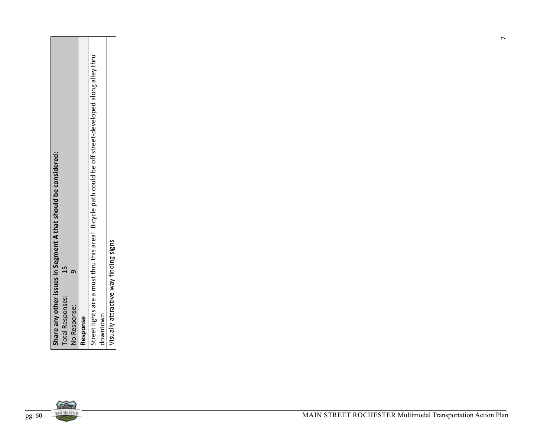| Share any other issues in Segment A that should be considered: | Street lights are a must thru this area! Bicycle path could be off street-developed along alley thru |                                       |  |  |  |  |
|----------------------------------------------------------------|------------------------------------------------------------------------------------------------------|---------------------------------------|--|--|--|--|
| 15<br>$\sigma$                                                 |                                                                                                      | Visually attractive way finding signs |  |  |  |  |
| <b>Total Responses:</b><br>No Response:                        | Response                                                                                             | downtown                              |  |  |  |  |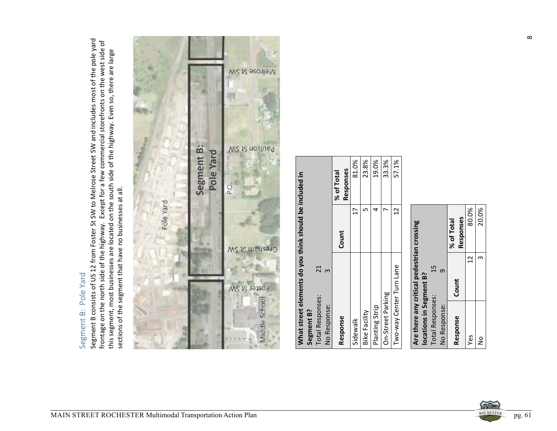

| What street elements do you think should be included in |            |                  |             |  |
|---------------------------------------------------------|------------|------------------|-------------|--|
|                                                         |            |                  |             |  |
|                                                         | Segment B? | Total Responses: | No Response |  |

|                          | Responses<br>% of Total | 81.0%    | 23.8%                | 19.0%          | 33.3%             | 57.1%                    |  |
|--------------------------|-------------------------|----------|----------------------|----------------|-------------------|--------------------------|--|
|                          | Count                   | F        |                      |                |                   | $\overline{2}$           |  |
| $\infty$<br>No Response: | Response                | Sidewalk | <b>Bike Facility</b> | Planting Strip | On-Street Parking | Two-way Center Turn Lane |  |

|                         | Are there any critical pedestrian crossing |            |
|-------------------------|--------------------------------------------|------------|
| locations in Segment B? |                                            |            |
| <b>Total Responses:</b> | 15                                         |            |
| No Response:            | ō                                          |            |
|                         | Count                                      | % of Total |
| Response                |                                            | Responses  |
| Yes                     | $\mathfrak{a}$                             | 80.0       |
| $\frac{1}{2}$           |                                            | 20.0       |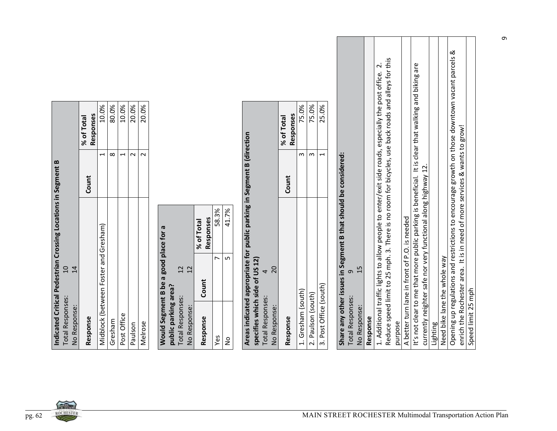| Indicated Critical Pedestrian Crossing Locations in Segment B |       |                  |
|---------------------------------------------------------------|-------|------------------|
| Ξ<br><b>Total Responses:</b>                                  |       |                  |
| No Response:                                                  |       |                  |
|                                                               | Count | % of Total       |
| Response                                                      |       | <b>Responses</b> |
| Midblock (between Foster and Gresham)                         |       | 10.0%            |
| Gresham                                                       |       | 80.0%            |
| Post Office                                                   |       | 10.0%            |
| Paulson                                                       |       | 20.0%            |
| Melrose                                                       |       | 20.0%            |
|                                                               |       |                  |

|                         | Would Segment B be a good place for a |            |
|-------------------------|---------------------------------------|------------|
| public parking area?    |                                       |            |
| <b>Total Responses:</b> | $\overline{2}$                        |            |
| No Response:            | $\overline{C}$                        |            |
|                         | Count                                 | % of Total |
| Response                |                                       | Responses  |
| Yes                     |                                       | 58.3%      |
| ž                       |                                       | 41.7%      |

|                                | Areas indicated appropriate for public parking in Segment B (direction |       |            |
|--------------------------------|------------------------------------------------------------------------|-------|------------|
| specifies which side of US 12) |                                                                        |       |            |
| <b>Total Responses:</b>        |                                                                        |       |            |
| No Response:                   | $\overline{C}$                                                         |       |            |
|                                |                                                                        | Count | % of Total |
| Response                       |                                                                        |       | Responses  |
| 1. Gresham (south)             |                                                                        |       | 75.0       |
| 2. Paulson (south)             |                                                                        |       | 75.0       |

|                                                                                       | Responses<br>% of Total | 10.0%                                 | 80.0%    | 10.0%                    | 20.0%   | 20.0%   |                                       |                                                                 |            |           |       |       |                                                                                   | Responses<br>% of Total | 75.0%              | 75.0%                     | 25.0%                    |                                                                            |                          |                                                                                                    |                                                                                                    |         |                                               |                                                                                                                                                                   |          |                              |                                                                                                                                                                              |                    |
|---------------------------------------------------------------------------------------|-------------------------|---------------------------------------|----------|--------------------------|---------|---------|---------------------------------------|-----------------------------------------------------------------|------------|-----------|-------|-------|-----------------------------------------------------------------------------------|-------------------------|--------------------|---------------------------|--------------------------|----------------------------------------------------------------------------|--------------------------|----------------------------------------------------------------------------------------------------|----------------------------------------------------------------------------------------------------|---------|-----------------------------------------------|-------------------------------------------------------------------------------------------------------------------------------------------------------------------|----------|------------------------------|------------------------------------------------------------------------------------------------------------------------------------------------------------------------------|--------------------|
|                                                                                       |                         | $\overline{\phantom{0}}$              | $\infty$ | $\overline{\phantom{0}}$ | $\sim$  | $\sim$  |                                       |                                                                 |            |           |       |       |                                                                                   |                         | S                  | $\boldsymbol{\mathsf{m}}$ | $\overline{\phantom{0}}$ |                                                                            |                          |                                                                                                    |                                                                                                    |         |                                               |                                                                                                                                                                   |          |                              |                                                                                                                                                                              |                    |
|                                                                                       | Count                   |                                       |          |                          |         |         |                                       |                                                                 |            |           |       |       |                                                                                   | Count                   |                    |                           |                          |                                                                            |                          |                                                                                                    |                                                                                                    |         |                                               | $\overline{c}$                                                                                                                                                    |          |                              |                                                                                                                                                                              |                    |
|                                                                                       |                         |                                       |          |                          |         |         |                                       |                                                                 | % of Total | Responses | 58.3% | 41.7% |                                                                                   |                         |                    |                           |                          |                                                                            |                          |                                                                                                    |                                                                                                    |         |                                               |                                                                                                                                                                   |          |                              |                                                                                                                                                                              |                    |
| Indicated Critical Pedestrian Crossing Locations in Segment B<br>$\overline{a}$<br>14 |                         | Midblock (between Foster and Gresham) |          |                          |         |         | Would Segment B be a good place for a | 12<br>12                                                        |            | Count     | ↖     | 5     | Areas indicated appropriate for public parking in Segment B (direction<br>20<br>4 |                         |                    |                           |                          | Share any other issues in Segment B that should be considered:<br>$\sigma$ | 15                       | 1. Additional traffic lights to allow people to enter/exit side roads, especially the post office. | Reduce speed limit to 25 mph. 3. There is no room for bicycles, use back roads and alleys for this |         | A better turn lane in front of P.O. is needed | It's not clear to me that more public parking is beneficial. It is clear that walking and biking are<br>currently neighter safe nor very functional along highway |          |                              | Opening up regulations and restrictions to encourage growth on those downtown vacant parcels &<br>enrich the Rochester area. It is in need of more services & wants to grow! |                    |
| <b>Total Responses:</b><br>No Response:                                               | Response                |                                       | Gresham  | Post Office              | Paulson | Melrose |                                       | public parking area?<br><b>Total Responses:</b><br>No Response: |            | Response  | Yes   | ş     | specifies which side of US 12)<br><b>Total Responses:</b><br>No Response:         | Response                | 1. Gresham (south) | 2. Paulson (south)        | 3. Post Office (south)   | <b>Total Responses:</b>                                                    | No Response:<br>Response |                                                                                                    |                                                                                                    | purpose |                                               |                                                                                                                                                                   | Lighting | Need bike lane the whole way |                                                                                                                                                                              | Speed limit 25 mph |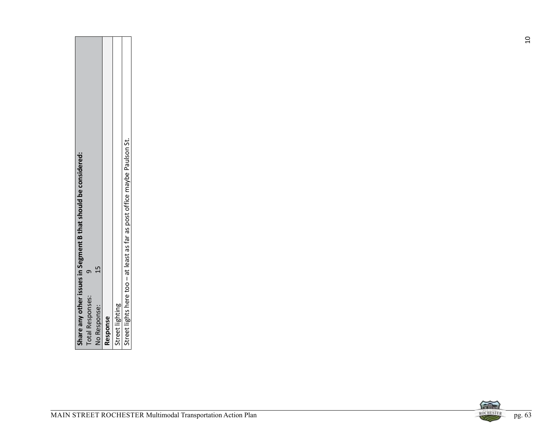| Street lights here too - at least as far as post office maybe Paulson St.<br>Share any other issues in Segment B that should be considered:<br>15<br>$\sigma$ |        |
|---------------------------------------------------------------------------------------------------------------------------------------------------------------|--------|
| <b>Total Responses:</b><br>Street lighting<br>No Response:<br>Response                                                                                        |        |
| 信命<br>ROCHESTER<br>MAIN STREET ROCHESTER Multimodal Transportation Action Plan                                                                                | pg. 63 |

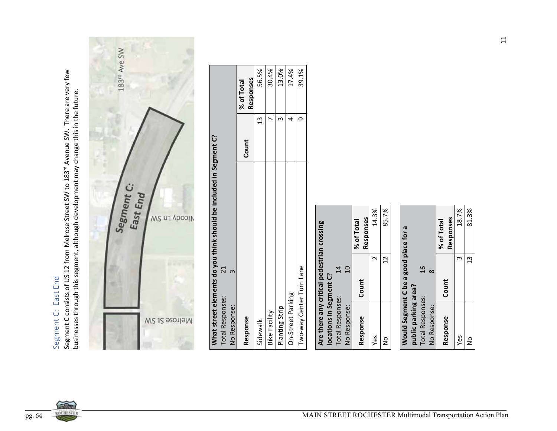

| What street elements do you think should be included in Segment C? |       |                      |
|--------------------------------------------------------------------|-------|----------------------|
| <b>Total Responses:</b>                                            |       |                      |
| No Response:                                                       |       |                      |
|                                                                    | Count | % of Total           |
| Response                                                           |       | Responses            |
| Sidewalk                                                           |       | 56.5%                |
| <b>Bike Facility</b>                                               |       | 30.4%                |
| Planting Strip                                                     |       | 13.0%                |
|                                                                    |       | $\sim$ $\sim$ $\sim$ |

|                                            |                         |                         |                | % of Total | Responses |
|--------------------------------------------|-------------------------|-------------------------|----------------|------------|-----------|
|                                            |                         | $\vec{a}$               | $\overline{0}$ | Count      |           |
| Are there any critical pedestrian crossing | locations in Segment C? | <b>Total Responses:</b> | No Response:   |            | Response  |

| m<br>$\frac{9}{1}$<br>$\infty$<br>Count<br>public parking area?<br><b>Total Responses:</b><br>No Response:<br>Response<br>Yes | 81.39<br>ă | 18.79 | Responses<br>% of Total |  |  |  |  |
|-------------------------------------------------------------------------------------------------------------------------------|------------|-------|-------------------------|--|--|--|--|
|-------------------------------------------------------------------------------------------------------------------------------|------------|-------|-------------------------|--|--|--|--|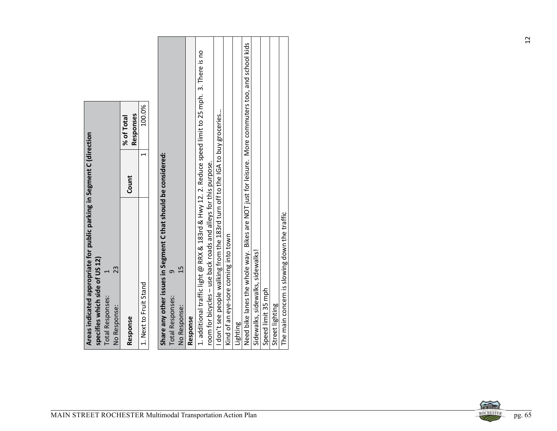|                                                                                                                                                                | Responses<br>% of Total | 100.0%                 |                                                                |                       |                    |          |                                                                                                     |                                                                                                                                                   |                                      |          |                                                                                                    |                                                        |                 |                                              |  |
|----------------------------------------------------------------------------------------------------------------------------------------------------------------|-------------------------|------------------------|----------------------------------------------------------------|-----------------------|--------------------|----------|-----------------------------------------------------------------------------------------------------|---------------------------------------------------------------------------------------------------------------------------------------------------|--------------------------------------|----------|----------------------------------------------------------------------------------------------------|--------------------------------------------------------|-----------------|----------------------------------------------|--|
|                                                                                                                                                                | Count                   | $\blacktriangleleft$   |                                                                |                       |                    |          |                                                                                                     |                                                                                                                                                   |                                      |          |                                                                                                    |                                                        |                 |                                              |  |
| Areas indicated appropriate for public parking in Segment C (direction<br>specifies which side of US 12)<br>23<br>1<br><b>Total Responses:</b><br>No Response: | Response                | 1. Next to Fruit Stand | Share any other issues in Segment C that should be considered: | 9<br>Total Responses: | 15<br>No Response: | Response | 1. additional traffic light @ RRX & 183rd & Hwy 12. 2. Reduce speed limit to 25 mph. 3. There is no | I don't see people walking from the 183rd turn off to the IGA to buy groceries<br>room for bicycles - use back roads and alleys for this purpose. | Kind of an eye-sore coming into town | Lighting | Need bike lanes the whole way. Bikes are NOT just for leisure. More commuters too, and school kids | Sidewalks, sidewalks, sidewalks!<br>Speed limit 35 mph | Street lighting | The main concern is slowing down the traffic |  |

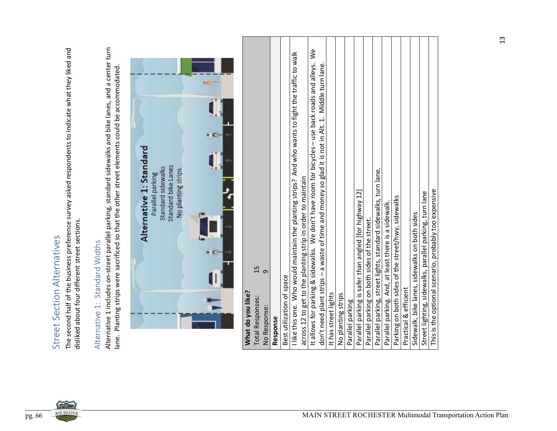| ١                        |
|--------------------------|
|                          |
| j<br>ī                   |
|                          |
| י<br>צ                   |
|                          |
| $\overline{\phantom{a}}$ |
| ł                        |
|                          |
|                          |
|                          |
|                          |
| く・・・・<br>j               |
|                          |
|                          |
| $\overline{\mathbf{r}}$  |
| (                        |
|                          |
|                          |
|                          |
| くくら<br>Ĵ                 |



| The second half of the business preference survey asked respondents to indicate what they liked and<br>disliked about four different street sections.<br>Street Section Alternatives | Alternative 1 includes on-street parallel parking, standard sidewalks and bike lanes, and a center turn<br>lane. Planting strips were sacrificed so that the other street elements could be accommodated.<br>Alternative 1: Standard Widths | $\overline{\phantom{a}}$<br>Alternative 1: Standard<br>Standard bike Lanes<br>Standard sidewalks<br>No planting strips<br>Parallel parking | What do you like? | 15<br>$\sigma$<br><b>Total Responses:</b><br>No Response: |          | Best utilization of space | I like this one. Who would maintain the planting strips? And who wants to fight the traffic to walk<br>across 12 to get to the planting strip in order to maintain | It allows for parking & sidewalks. We don't have room for bicycles - use back roads and alleys.<br>don't need plant strips - a waste of time and money so glad it is not in Alt. 1. Middle turn lane | It has street lights | No planting strips | Parallel parking | Parallel parking is safer than angled [for highway 12] | Parallel parking on both sides of the street | Parallel parking, street lights, standard sidewalks, turn lane<br>Parallel parking. And, at least there is a sidewalk. | Parking on both sides of the street/hwy, sidewalks<br>Practical & efficient | Sidewalk, bike lanes, sidewalks on both sides | Street lighting, sidewalks, parallel parking, turn lane | This is the optional scenario, probably too expensive |
|--------------------------------------------------------------------------------------------------------------------------------------------------------------------------------------|---------------------------------------------------------------------------------------------------------------------------------------------------------------------------------------------------------------------------------------------|--------------------------------------------------------------------------------------------------------------------------------------------|-------------------|-----------------------------------------------------------|----------|---------------------------|--------------------------------------------------------------------------------------------------------------------------------------------------------------------|------------------------------------------------------------------------------------------------------------------------------------------------------------------------------------------------------|----------------------|--------------------|------------------|--------------------------------------------------------|----------------------------------------------|------------------------------------------------------------------------------------------------------------------------|-----------------------------------------------------------------------------|-----------------------------------------------|---------------------------------------------------------|-------------------------------------------------------|
|                                                                                                                                                                                      |                                                                                                                                                                                                                                             |                                                                                                                                            |                   |                                                           | Response |                           |                                                                                                                                                                    |                                                                                                                                                                                                      |                      |                    |                  |                                                        |                                              |                                                                                                                        |                                                                             |                                               |                                                         |                                                       |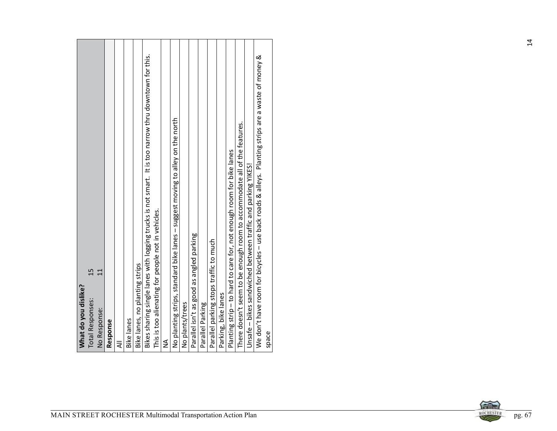| It is too narrow thru downtown for this.<br>Bikes sharing single lanes with logging trucks is not smart.<br>This is too alienating for people not in vehicles.<br>Bike lanes, no planting strips<br>15<br>$\overline{\mathbf{u}}$<br>What do you dislike?<br><b>Total Responses:</b><br>No Response:<br><b>Bike lanes</b><br>Response<br>₹ | No planting strips, standard bike lanes - suggest moving to alley on the north<br>Parallel isn't as good as angled parking<br>Parallel parking stops traffic to much<br>No plants/trees<br>Parallel Parking<br>≨ | We don't have room for bicycles - use back roads & alleys. Planting strips are a waste of money &<br>There doesn't seem to be enough room to accommodate all of the features.<br>Planting strip - to hard to care for, not enough room for bike lanes<br>Unsafe - bikes sandwiched between traffic and parking YIKES!<br>Parking, bike lanes<br>space |  |
|--------------------------------------------------------------------------------------------------------------------------------------------------------------------------------------------------------------------------------------------------------------------------------------------------------------------------------------------|------------------------------------------------------------------------------------------------------------------------------------------------------------------------------------------------------------------|-------------------------------------------------------------------------------------------------------------------------------------------------------------------------------------------------------------------------------------------------------------------------------------------------------------------------------------------------------|--|
|                                                                                                                                                                                                                                                                                                                                            |                                                                                                                                                                                                                  |                                                                                                                                                                                                                                                                                                                                                       |  |

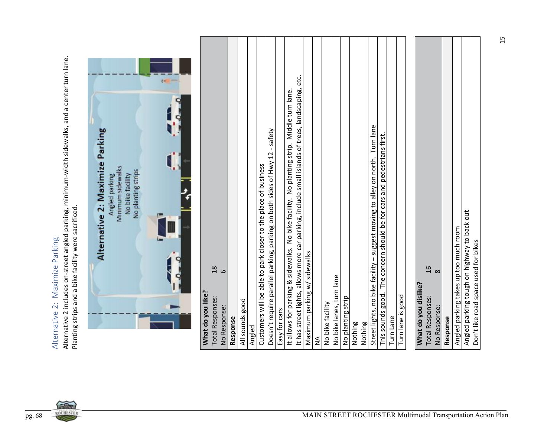

|                                                                                                                                                                                              |                                                                                                                  | 1.1 |                                                               |                         |          |                 |                                                                          |                                                                            |               |                                                                                           |                                                                                                                                  |   |                  |                          |                   |         |                                                                                          |                                                                         |           |                   |                                                         |                          |          |                                       |                                             |                                      |
|----------------------------------------------------------------------------------------------------------------------------------------------------------------------------------------------|------------------------------------------------------------------------------------------------------------------|-----|---------------------------------------------------------------|-------------------------|----------|-----------------|--------------------------------------------------------------------------|----------------------------------------------------------------------------|---------------|-------------------------------------------------------------------------------------------|----------------------------------------------------------------------------------------------------------------------------------|---|------------------|--------------------------|-------------------|---------|------------------------------------------------------------------------------------------|-------------------------------------------------------------------------|-----------|-------------------|---------------------------------------------------------|--------------------------|----------|---------------------------------------|---------------------------------------------|--------------------------------------|
| Alternative 2 includes on-street angled parking, minimum-width sidewalks, and a center turn lane.<br>Planting strips and a bike facility were sacrificed.<br>Alternative 2: Maximize Parking | Alternative 2: Maximize Parking<br>Minimum sidewalks<br>No planting strips<br>No bike facility<br>Angled parking |     | $\frac{8}{1}$<br>What do you like?<br><b>Total Responses:</b> | $\circ$<br>No Response: | Response | All sounds good | Customers will be able to park closer to the place of business<br>Angled | Doesn't require parallel parking, parking on both sides of Hwy 12 - safety | Easy for cars | It allows for parking & sidewalks. No bike facility. No planting strip. Middle turn lane. | It has street lights, allows more car parking, include small islands of trees, landscaping, etc.<br>Maximum parking w/ sidewalks | ≨ | No bike facility | No bike lanes, turn lane | No planting strip | Nothing | Street lights, no bike facility - suggest moving to alley on north. Turn lane<br>Nothing | This sounds good. The concern should be for cars and pedestrians first. | Turn Lane | Turn lane is good | $16$<br>What do you dislike?<br><b>Total Responses:</b> | $\infty$<br>No Response: | Response | Angled parking takes up too much room | Angled parking tough on highway to back out | Don't like road space used for bikes |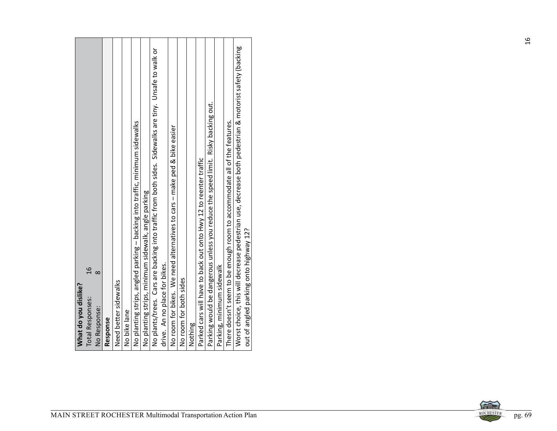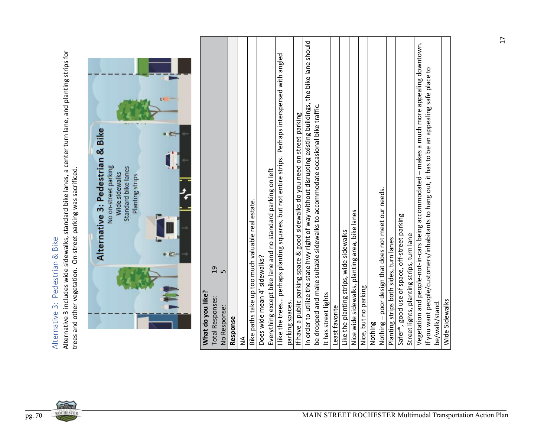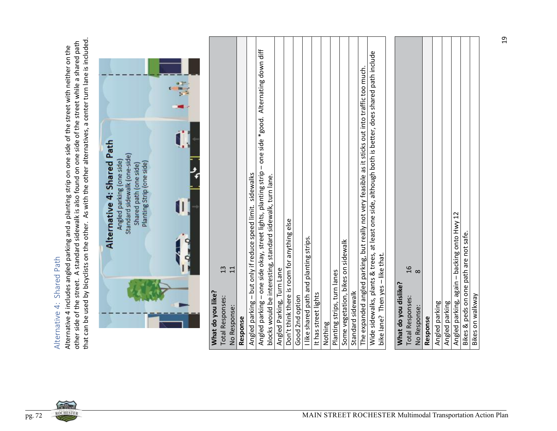

| Wide sidewalks, plants & trees, at least one side, although both is better, does shared path include<br>The expanded angled parking, but really not very feasible as it sticks out into traffic too much.<br>Angled parking - but only if reduce speed limit. sidewalks<br>blocks would be interesting, standard sidewalk, turn lane.<br>Angled parking, again – backing onto Hwy 12<br>Don't think there is room for anything else<br>Bikes & peds on one path are not safe.<br>I like shared path and planting strips<br>Some vegetation, bikes on sidewalk<br>bike lane? Then yes - like that.<br>$\frac{9}{1}$<br>13<br>$\overline{11}$<br>Angled Parking, Turn Lane<br>Planting strips, turn lanes<br>$\infty$<br>What do you dislike?<br>What do you like?<br>Standard sidewalk<br>It has street lights<br>Good 2nd option<br><b>Total Responses:</b><br><b>Total Responses:</b><br>Angled parking<br>Angled parking<br>No Response:<br>No Response:<br>Response<br>Response<br>Nothing | Angled parking - one side okay, street lights, planting strip - one side *good. Alternating down diff | Alternative 4: Shared Path<br>Standard sidewalk (one-side)<br>Angled parking (one side)<br>Planting Strip (one side)<br>Shared path (one side) | that can be used by bicyclists on the other. As with the other alternatives, a center turn lane is included.<br>other side of the street. A standard sidewalk is also found on one side of the street while a shared path<br>Alternative 4 includes angled parking and a planting strip on one side of the street with neither on the<br>Alternative 4: Shared Path |
|-----------------------------------------------------------------------------------------------------------------------------------------------------------------------------------------------------------------------------------------------------------------------------------------------------------------------------------------------------------------------------------------------------------------------------------------------------------------------------------------------------------------------------------------------------------------------------------------------------------------------------------------------------------------------------------------------------------------------------------------------------------------------------------------------------------------------------------------------------------------------------------------------------------------------------------------------------------------------------------------------|-------------------------------------------------------------------------------------------------------|------------------------------------------------------------------------------------------------------------------------------------------------|---------------------------------------------------------------------------------------------------------------------------------------------------------------------------------------------------------------------------------------------------------------------------------------------------------------------------------------------------------------------|
|-----------------------------------------------------------------------------------------------------------------------------------------------------------------------------------------------------------------------------------------------------------------------------------------------------------------------------------------------------------------------------------------------------------------------------------------------------------------------------------------------------------------------------------------------------------------------------------------------------------------------------------------------------------------------------------------------------------------------------------------------------------------------------------------------------------------------------------------------------------------------------------------------------------------------------------------------------------------------------------------------|-------------------------------------------------------------------------------------------------------|------------------------------------------------------------------------------------------------------------------------------------------------|---------------------------------------------------------------------------------------------------------------------------------------------------------------------------------------------------------------------------------------------------------------------------------------------------------------------------------------------------------------------|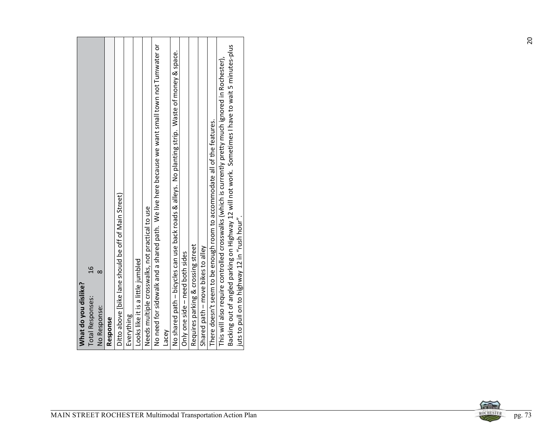|                                                                                                                                                                                 | space.                                                                                                                                                                                                                                                                                                                                                                                                                                                                                                                                                                                                                                                                                                                                                 |                     |
|---------------------------------------------------------------------------------------------------------------------------------------------------------------------------------|--------------------------------------------------------------------------------------------------------------------------------------------------------------------------------------------------------------------------------------------------------------------------------------------------------------------------------------------------------------------------------------------------------------------------------------------------------------------------------------------------------------------------------------------------------------------------------------------------------------------------------------------------------------------------------------------------------------------------------------------------------|---------------------|
| Ditto above [bike lane should be off of Main Street)<br>$\overline{a}$<br>$\infty$<br>What do you dislike?<br><b>Total Responses:</b><br>No Response:<br>Everything<br>Response | No need for sidewalk and a shared path. We live here because we want small town not Tumwater or<br>Backing out of angled parking on Highway 12 will not work. Sometimes I have to wait 5 minutes-plus<br>This will also require controlled crosswalks (which is currently pretty much ignored in Rochester),<br>No shared path - bicycles can use back roads & alleys. No planting strip. Waste of money &<br>There doesn't seem to be enough room to accommodate all of the features.<br>Needs multiple crosswalks, not practical to use<br>juts to pull on to highway 12 in "rush hour".<br>Requires parking & crossing street<br>Shared path - move bikes to alley<br>Only one side - need both sides<br>Looks like it is a little jumbled<br>Lacey |                     |
|                                                                                                                                                                                 | MAIN STREET ROCHESTER Multimodal Transportation Action Plan                                                                                                                                                                                                                                                                                                                                                                                                                                                                                                                                                                                                                                                                                            | ROCHESTER<br>pg. 73 |



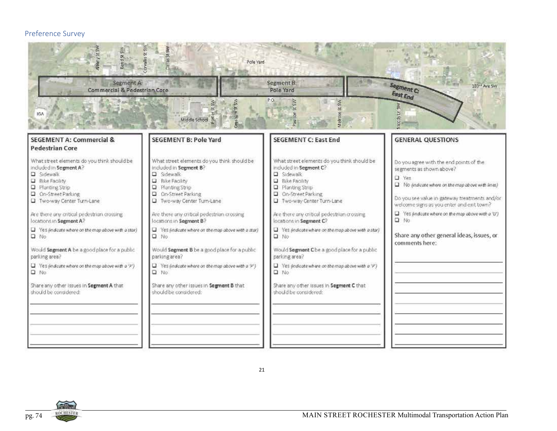### Preference Survey



21

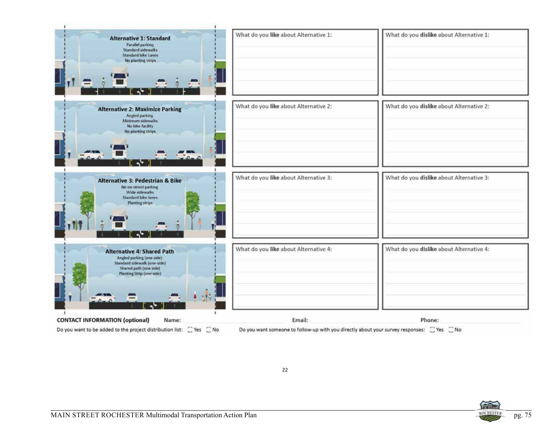| <b>Alternative 1: Standard</b><br>Parallel parking<br>Standard sidewalks<br>Standard bike Lanes<br>No planting strips                                 | What do you like about Alternative 1: | What do you dislike about Alternative 1: |
|-------------------------------------------------------------------------------------------------------------------------------------------------------|---------------------------------------|------------------------------------------|
| <b>Alternative 2: Maximize Parking</b><br>Angled parking<br>Minimum sidewalks<br>No bike facility<br>No planting strips.                              | What do you like about Alternative 2: | What do you dislike about Alternative 2: |
| <b>Alternative 3: Pedestrian &amp; Bike</b><br>No on-street parking<br>Wide sidewalks<br><b>Standard bike lanes</b><br>Planting strips                | What do you like about Alternative 3: | What do you dislike about Alternative 3: |
| <b>Alternative 4: Shared Path</b><br>Angled parking (one side)<br>Standard sidewalk (one-side)<br>Shared path (one side)<br>Planting Strip (one side) | What do you like about Alternative 4: | What do you dislike about Alternative 4: |
| t ste<br><b>CONTACT INFORMATION (optional)</b><br>Name:                                                                                               | Email:                                | Phone:                                   |

Do you want to be added to the project distribution list:  $\Box$  Yes  $\Box$  No

Do you want someone to follow-up with you directly about your survey responses:  $\Box$  Yes  $\Box$  No

22